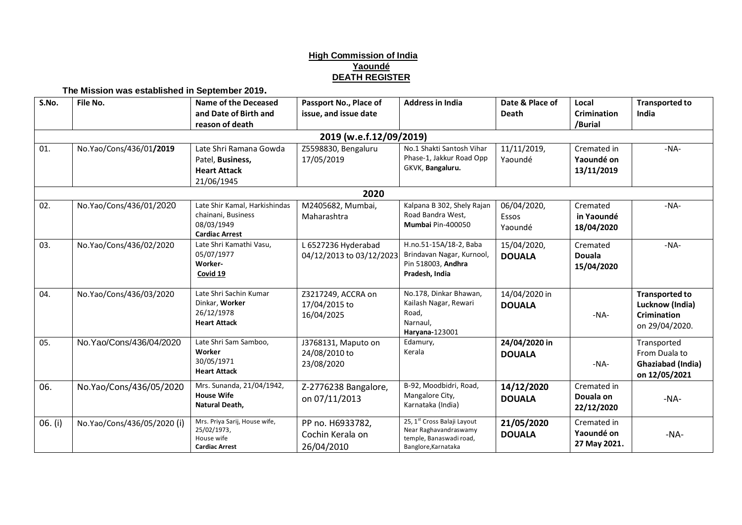## **High Commission of India Yaoundé DEATH REGISTER**

**The Mission was established in September 2019.**

| S.No.                   | File No.                    | Name of the Deceased                                                                       | Passport No., Place of                             | <b>Address in India</b>                                                                                | Date & Place of                 | Local                                     | <b>Transported to</b>                                                            |  |  |  |  |  |
|-------------------------|-----------------------------|--------------------------------------------------------------------------------------------|----------------------------------------------------|--------------------------------------------------------------------------------------------------------|---------------------------------|-------------------------------------------|----------------------------------------------------------------------------------|--|--|--|--|--|
|                         |                             | and Date of Birth and<br>reason of death                                                   | issue, and issue date                              |                                                                                                        | <b>Death</b>                    | <b>Crimination</b><br>/Burial             | India                                                                            |  |  |  |  |  |
| 2019 (w.e.f.12/09/2019) |                             |                                                                                            |                                                    |                                                                                                        |                                 |                                           |                                                                                  |  |  |  |  |  |
| 01.                     | No.Yao/Cons/436/01/2019     | Late Shri Ramana Gowda<br>Patel, Business,<br><b>Heart Attack</b><br>21/06/1945            | Z5598830, Bengaluru<br>17/05/2019                  | No.1 Shakti Santosh Vihar<br>Phase-1, Jakkur Road Opp<br>GKVK, Bangaluru.                              | 11/11/2019,<br>Yaoundé          | Cremated in<br>Yaoundé on<br>13/11/2019   | $-NA-$                                                                           |  |  |  |  |  |
|                         |                             |                                                                                            | 2020                                               |                                                                                                        |                                 |                                           |                                                                                  |  |  |  |  |  |
| 02.                     | No.Yao/Cons/436/01/2020     | Late Shir Kamal, Harkishindas<br>chainani, Business<br>08/03/1949<br><b>Cardiac Arrest</b> | M2405682, Mumbai,<br>Maharashtra                   | Kalpana B 302, Shely Rajan<br>Road Bandra West,<br>Mumbai Pin-400050                                   | 06/04/2020,<br>Essos<br>Yaoundé | Cremated<br>in Yaoundé<br>18/04/2020      | $-NA-$                                                                           |  |  |  |  |  |
| 03.                     | No.Yao/Cons/436/02/2020     | Late Shri Kamathi Vasu,<br>05/07/1977<br>Worker-<br>Covid 19                               | L 6527236 Hyderabad<br>04/12/2013 to 03/12/2023    | H.no.51-15A/18-2, Baba<br>Brindavan Nagar, Kurnool,<br>Pin 518003, Andhra<br>Pradesh, India            | 15/04/2020,<br><b>DOUALA</b>    | Cremated<br><b>Douala</b><br>15/04/2020   | $-NA-$                                                                           |  |  |  |  |  |
| 04.                     | No.Yao/Cons/436/03/2020     | Late Shri Sachin Kumar<br>Dinkar, Worker<br>26/12/1978<br><b>Heart Attack</b>              | Z3217249, ACCRA on<br>17/04/2015 to<br>16/04/2025  | No.178, Dinkar Bhawan,<br>Kailash Nagar, Rewari<br>Road,<br>Narnaul.<br>Haryana-123001                 | 14/04/2020 in<br><b>DOUALA</b>  | $-NA-$                                    | <b>Transported to</b><br>Lucknow (India)<br><b>Crimination</b><br>on 29/04/2020. |  |  |  |  |  |
| 05.                     | No.Yao/Cons/436/04/2020     | Late Shri Sam Samboo,<br>Worker<br>30/05/1971<br><b>Heart Attack</b>                       | J3768131, Maputo on<br>24/08/2010 to<br>23/08/2020 | Edamury,<br>Kerala                                                                                     | 24/04/2020 in<br><b>DOUALA</b>  | $-NA-$                                    | Transported<br>From Duala to<br>Ghaziabad (India)<br>on 12/05/2021               |  |  |  |  |  |
| 06.                     | No.Yao/Cons/436/05/2020     | Mrs. Sunanda, 21/04/1942,<br><b>House Wife</b><br>Natural Death,                           | Z-2776238 Bangalore,<br>on 07/11/2013              | B-92, Moodbidri, Road,<br>Mangalore City,<br>Karnataka (India)                                         | 14/12/2020<br><b>DOUALA</b>     | Cremated in<br>Douala on<br>22/12/2020    | $-NA-$                                                                           |  |  |  |  |  |
| 06. (i)                 | No.Yao/Cons/436/05/2020 (i) | Mrs. Priya Sarij, House wife,<br>25/02/1973,<br>House wife<br><b>Cardiac Arrest</b>        | PP no. H6933782,<br>Cochin Kerala on<br>26/04/2010 | 25, 1st Cross Balaji Layout<br>Near Raghavandraswamy<br>temple, Banaswadi road,<br>Banglore, Karnataka | 21/05/2020<br><b>DOUALA</b>     | Cremated in<br>Yaoundé on<br>27 May 2021. | $-NA-$                                                                           |  |  |  |  |  |